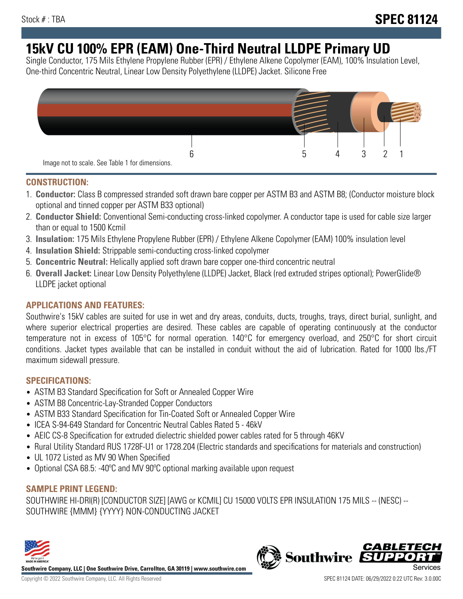# **15kV CU 100% EPR (EAM) One-Third Neutral LLDPE Primary UD**

Single Conductor, 175 Mils Ethylene Propylene Rubber (EPR) / Ethylene Alkene Copolymer (EAM), 100% Insulation Level, One-third Concentric Neutral, Linear Low Density Polyethylene (LLDPE) Jacket. Silicone Free



### **CONSTRUCTION:**

- 1. **Conductor:** Class B compressed stranded soft drawn bare copper per ASTM B3 and ASTM B8; (Conductor moisture block optional and tinned copper per ASTM B33 optional)
- 2. **Conductor Shield:** Conventional Semi-conducting cross-linked copolymer. A conductor tape is used for cable size larger than or equal to 1500 Kcmil
- 3. **Insulation:** 175 Mils Ethylene Propylene Rubber (EPR) / Ethylene Alkene Copolymer (EAM) 100% insulation level
- 4. **Insulation Shield:** Strippable semi-conducting cross-linked copolymer
- 5. **Concentric Neutral:** Helically applied soft drawn bare copper one-third concentric neutral
- 6. **Overall Jacket:** Linear Low Density Polyethylene (LLDPE) Jacket, Black (red extruded stripes optional); PowerGlide® LLDPE jacket optional

### **APPLICATIONS AND FEATURES:**

Southwire's 15kV cables are suited for use in wet and dry areas, conduits, ducts, troughs, trays, direct burial, sunlight, and where superior electrical properties are desired. These cables are capable of operating continuously at the conductor temperature not in excess of 105°C for normal operation. 140°C for emergency overload, and 250°C for short circuit conditions. Jacket types available that can be installed in conduit without the aid of lubrication. Rated for 1000 lbs./FT maximum sidewall pressure.

### **SPECIFICATIONS:**

- ASTM B3 Standard Specification for Soft or Annealed Copper Wire
- ASTM B8 Concentric-Lay-Stranded Copper Conductors
- ASTM B33 Standard Specification for Tin-Coated Soft or Annealed Copper Wire
- ICEA S-94-649 Standard for Concentric Neutral Cables Rated 5 46kV
- AEIC CS-8 Specification for extruded dielectric shielded power cables rated for 5 through 46KV
- Rural Utility Standard RUS 1728F-U1 or 1728.204 (Electric standards and specifications for materials and construction)
- UL 1072 Listed as MV 90 When Specified
- Optional CSA 68.5: -40°C and MV 90°C optional marking available upon request

## **SAMPLE PRINT LEGEND:**

SOUTHWIRE HI-DRI(R) [CONDUCTOR SIZE] [AWG or KCMIL] CU 15000 VOLTS EPR INSULATION 175 MILS -- (NESC) -- SOUTHWIRE {MMM} {YYYY} NON-CONDUCTING JACKET



**Southwire Company, LLC | One Southwire Drive, Carrollton, GA 30119 | www.southwire.com**